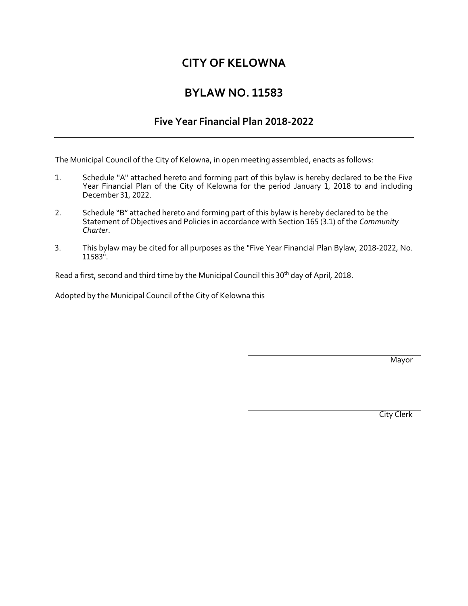# **CITY OF KELOWNA**

# **BYLAW NO. 11583**

# **Five Year Financial Plan 2018-2022**

The Municipal Council of the City of Kelowna, in open meeting assembled, enacts as follows:

- 1. Schedule "A" attached hereto and forming part of this bylaw is hereby declared to be the Five Year Financial Plan of the City of Kelowna for the period January 1, 2018 to and including December 31, 2022.
- 2. Schedule "B" attached hereto and forming part of this bylaw is hereby declared to be the Statement of Objectives and Policies in accordance with Section 165 (3.1) of the *Community Charter*.
- 3. This bylaw may be cited for all purposes as the "Five Year Financial Plan Bylaw, 2018-2022, No. 11583".

Read a first, second and third time by the Municipal Council this 30<sup>th</sup> day of April, 2018.

Adopted by the Municipal Council of the City of Kelowna this

Mayor

City Clerk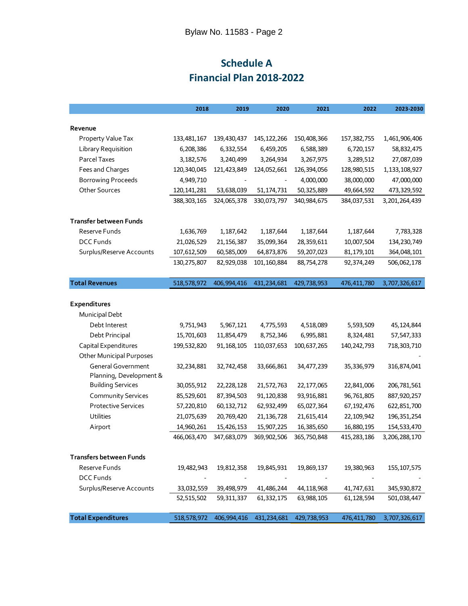# **Schedule A Financial Plan 2018-2022**

|                                 | 2018          | 2019         | 2020                     | 2021        | 2022          | 2023-2030     |
|---------------------------------|---------------|--------------|--------------------------|-------------|---------------|---------------|
|                                 |               |              |                          |             |               |               |
| Revenue                         |               |              |                          |             |               |               |
| Property Value Tax              | 133,481,167   | 139,430,437  | 145, 122, 266            | 150,408,366 | 157,382,755   | 1,461,906,406 |
| Library Requisition             | 6,208,386     | 6,332,554    | 6,459,205                | 6,588,389   | 6,720,157     | 58,832,475    |
| Parcel Taxes                    | 3,182,576     | 3,240,499    | 3,264,934                | 3,267,975   | 3,289,512     | 27,087,039    |
| Fees and Charges                | 120,340,045   | 121,423,849  | 124,052,661              | 126,394,056 | 128,980,515   | 1,133,108,927 |
| <b>Borrowing Proceeds</b>       | 4,949,710     |              | $\overline{\phantom{a}}$ | 4,000,000   | 38,000,000    | 47,000,000    |
| Other Sources                   | 120, 141, 281 | 53,638,039   | 51, 174, 731             | 50,325,889  | 49,664,592    | 473,329,592   |
|                                 | 388, 303, 165 | 324,065,378  | 330,073,797              | 340,984,675 | 384,037,531   | 3,201,264,439 |
| Transfer between Funds          |               |              |                          |             |               |               |
| Reserve Funds                   | 1,636,769     | 1,187,642    | 1,187,644                | 1,187,644   | 1,187,644     | 7,783,328     |
| <b>DCC Funds</b>                | 21,026,529    | 21, 156, 387 | 35,099,364               | 28,359,611  | 10,007,504    | 134, 230, 749 |
| Surplus/Reserve Accounts        | 107,612,509   | 60,585,009   | 64,873,876               | 59,207,023  | 81,179,101    | 364,048,101   |
|                                 | 130,275,807   | 82,929,038   | 101,160,884              | 88,754,278  | 92,374,249    | 506,062,178   |
| <b>Total Revenues</b>           | 518,578,972   | 406,994,416  | 431,234,681              | 429,738,953 | 476,411,780   | 3,707,326,617 |
|                                 |               |              |                          |             |               |               |
| Expenditures                    |               |              |                          |             |               |               |
| Municipal Debt                  |               |              |                          |             |               |               |
| Debt Interest                   | 9,751,943     | 5,967,121    | 4,775,593                | 4,518,089   | 5,593,509     | 45,124,844    |
| Debt Principal                  | 15,701,603    | 11,854,479   | 8,752,346                | 6,995,881   | 8,324,481     | 57,547,333    |
| Capital Expenditures            | 199,532,820   | 91,168,105   | 110,037,653              | 100,637,265 | 140, 242, 793 | 718,303,710   |
| <b>Other Municipal Purposes</b> |               |              |                          |             |               |               |
| <b>General Government</b>       | 32,234,881    | 32,742,458   | 33,666,861               | 34,477,239  | 35,336,979    | 316,874,041   |
| Planning, Development &         |               |              |                          |             |               |               |
| <b>Building Services</b>        | 30,055,912    | 22,228,128   | 21,572,763               | 22,177,065  | 22,841,006    | 206,781,561   |
| <b>Community Services</b>       | 85,529,601    | 87,394,503   | 91,120,838               | 93,916,881  | 96,761,805    | 887,920,257   |
| <b>Protective Services</b>      | 57,220,810    | 60, 132, 712 | 62,932,499               | 65,027,364  | 67,192,476    | 622,851,700   |
| <b>Utilities</b>                | 21,075,639    | 20,769,420   | 21,136,728               | 21,615,414  | 22,109,942    | 196, 351, 254 |
| Airport                         | 14,960,261    | 15,426,153   | 15,907,225               | 16,385,650  | 16,880,195    | 154,533,470   |
|                                 | 466,063,470   | 347,683,079  | 369,902,506              | 365,750,848 | 415,283,186   | 3,206,288,170 |
|                                 |               |              |                          |             |               |               |
| <b>Transfers between Funds</b>  |               |              |                          |             |               |               |
| Reserve Funds                   | 19,482,943    | 19,812,358   | 19,845,931               | 19,869,137  | 19,380,963    | 155, 107, 575 |
| <b>DCC Funds</b>                |               |              |                          |             |               |               |
| Surplus/Reserve Accounts        | 33,032,559    | 39,498,979   | 41,486,244               | 44,118,968  | 41,747,631    | 345,930,872   |
|                                 | 52,515,502    | 59,311,337   | 61,332,175               | 63,988,105  | 61,128,594    | 501,038,447   |
| <b>Total Expenditures</b>       | 518,578,972   | 406,994,416  | 431,234,681              | 429,738,953 | 476,411,780   | 3,707,326,617 |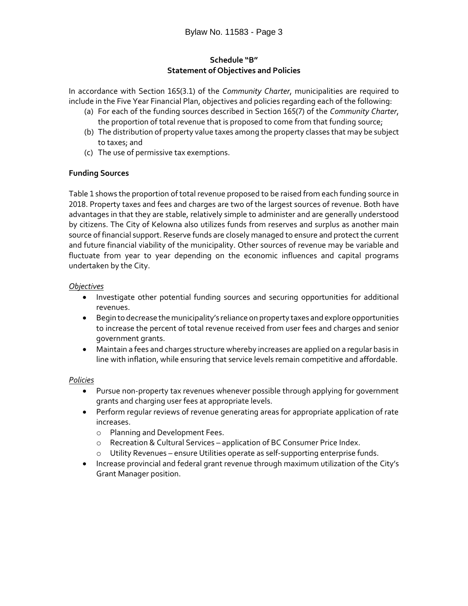# **Schedule "B" Statement of Objectives and Policies**

In accordance with Section 165(3.1) of the *Community Charter*, municipalities are required to include in the Five Year Financial Plan, objectives and policies regarding each of the following:

- (a) For each of the funding sources described in Section 165(7) of the *Community Charter*, the proportion of total revenue that is proposed to come from that funding source;
- (b) The distribution of property value taxes among the property classes that may be subject to taxes; and
- (c) The use of permissive tax exemptions.

# **Funding Sources**

Table 1 shows the proportion of total revenue proposed to be raised from each funding source in 2018. Property taxes and fees and charges are two of the largest sources of revenue. Both have advantages in that they are stable, relatively simple to administer and are generally understood by citizens. The City of Kelowna also utilizes funds from reserves and surplus as another main source of financial support. Reserve funds are closely managed to ensure and protect the current and future financial viability of the municipality. Other sources of revenue may be variable and fluctuate from year to year depending on the economic influences and capital programs undertaken by the City.

# *Objectives*

- Investigate other potential funding sources and securing opportunities for additional revenues.
- Begin to decrease the municipality's reliance on property taxes and explore opportunities to increase the percent of total revenue received from user fees and charges and senior government grants.
- Maintain a fees and charges structure whereby increases are applied on a regular basis in line with inflation, while ensuring that service levels remain competitive and affordable.

# *Policies*

- Pursue non-property tax revenues whenever possible through applying for government grants and charging user fees at appropriate levels.
- Perform regular reviews of revenue generating areas for appropriate application of rate increases.
	- o Planning and Development Fees.
	- o Recreation & Cultural Services application of BC Consumer Price Index.
	- o Utility Revenues ensure Utilities operate as self-supporting enterprise funds.
- Increase provincial and federal grant revenue through maximum utilization of the City's Grant Manager position.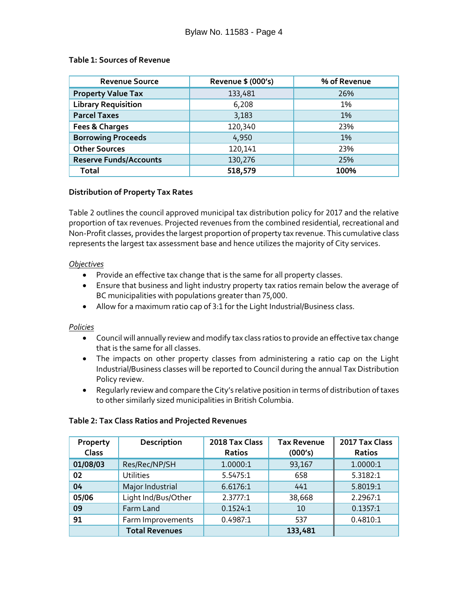#### **Table 1: Sources of Revenue**

| <b>Revenue Source</b>         | Revenue \$ (000's) | % of Revenue |
|-------------------------------|--------------------|--------------|
| <b>Property Value Tax</b>     | 133,481            | 26%          |
| <b>Library Requisition</b>    | 6,208              | 1%           |
| <b>Parcel Taxes</b>           | 3,183              | 1%           |
| Fees & Charges                | 120,340            | 23%          |
| <b>Borrowing Proceeds</b>     | 4,950              | 1%           |
| <b>Other Sources</b>          | 120,141            | 23%          |
| <b>Reserve Funds/Accounts</b> | 130,276            | 25%          |
| Total                         | 518,579            | 100%         |

# **Distribution of Property Tax Rates**

Table 2 outlines the council approved municipal tax distribution policy for 2017 and the relative proportion of tax revenues. Projected revenues from the combined residential, recreational and Non-Profit classes, provides the largest proportion of property tax revenue. This cumulative class represents the largest tax assessment base and hence utilizes the majority of City services.

#### *Objectives*

- Provide an effective tax change that is the same for all property classes.
- Ensure that business and light industry property tax ratios remain below the average of BC municipalities with populations greater than 75,000.
- Allow for a maximum ratio cap of 3:1 for the Light Industrial/Business class.

# *Policies*

- Council will annually review and modify tax class ratios to provide an effective tax change that is the same for all classes.
- The impacts on other property classes from administering a ratio cap on the Light Industrial/Business classes will be reported to Council during the annual Tax Distribution Policy review.
- Regularly review and compare the City's relative position in terms of distribution of taxes to other similarly sized municipalities in British Columbia.

| Property<br>Class | Description           | 2018 Tax Class<br>Ratios | <b>Tax Revenue</b><br>(000's) | 2017 Tax Class<br>Ratios |
|-------------------|-----------------------|--------------------------|-------------------------------|--------------------------|
| 01/08/03          | Res/Rec/NP/SH         | 1.0000:1                 | 93,167                        | 1.0000:1                 |
| 02                | <b>Utilities</b>      | 5.5475:1                 | 658                           | 5.3182:1                 |
| 04                | Major Industrial      | 6.6176:1                 | 441                           | 5.8019:1                 |
| 05/06             | Light Ind/Bus/Other   | 2.3777:1                 | 38,668                        | 2.2967:1                 |
| 09                | Farm Land             | 0.1524:1                 | 10                            | 0.1357:1                 |
| 91                | Farm Improvements     | 0.4987:1                 | 537                           | 0.4810:1                 |
|                   | <b>Total Revenues</b> |                          | 133,481                       |                          |

# **Table 2: Tax Class Ratios and Projected Revenues**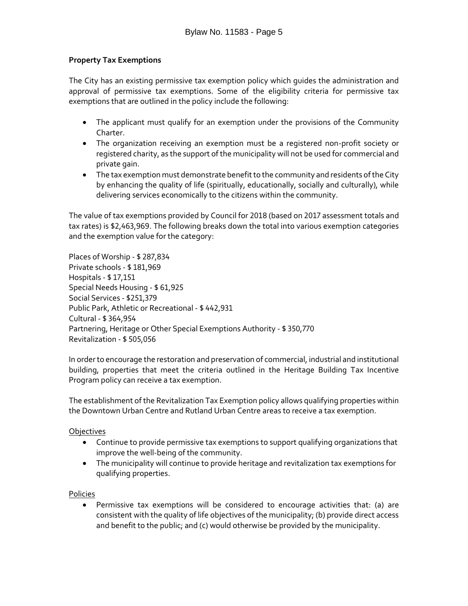# **Property Tax Exemptions**

The City has an existing permissive tax exemption policy which guides the administration and approval of permissive tax exemptions. Some of the eligibility criteria for permissive tax exemptions that are outlined in the policy include the following:

- The applicant must qualify for an exemption under the provisions of the Community Charter.
- The organization receiving an exemption must be a registered non-profit society or registered charity, as the support of the municipality will not be used for commercial and private gain.
- The tax exemption must demonstrate benefit to the community and residents of the City by enhancing the quality of life (spiritually, educationally, socially and culturally), while delivering services economically to the citizens within the community.

The value of tax exemptions provided by Council for 2018 (based on 2017 assessment totals and tax rates) is \$2,463,969. The following breaks down the total into various exemption categories and the exemption value for the category:

Places of Worship - \$ 287,834 Private schools - \$ 181,969 Hospitals - \$ 17,151 Special Needs Housing - \$ 61,925 Social Services - \$251,379 Public Park, Athletic or Recreational - \$ 442,931 Cultural - \$ 364,954 Partnering, Heritage or Other Special Exemptions Authority - \$ 350,770 Revitalization - \$ 505,056

In order to encourage the restoration and preservation of commercial, industrial and institutional building, properties that meet the criteria outlined in the Heritage Building Tax Incentive Program policy can receive a tax exemption.

The establishment of the Revitalization Tax Exemption policy allows qualifying properties within the Downtown Urban Centre and Rutland Urban Centre areas to receive a tax exemption.

# Objectives

- Continue to provide permissive tax exemptions to support qualifying organizations that improve the well-being of the community.
- The municipality will continue to provide heritage and revitalization tax exemptions for qualifying properties.

Policies

 Permissive tax exemptions will be considered to encourage activities that: (a) are consistent with the quality of life objectives of the municipality; (b) provide direct access and benefit to the public; and (c) would otherwise be provided by the municipality.